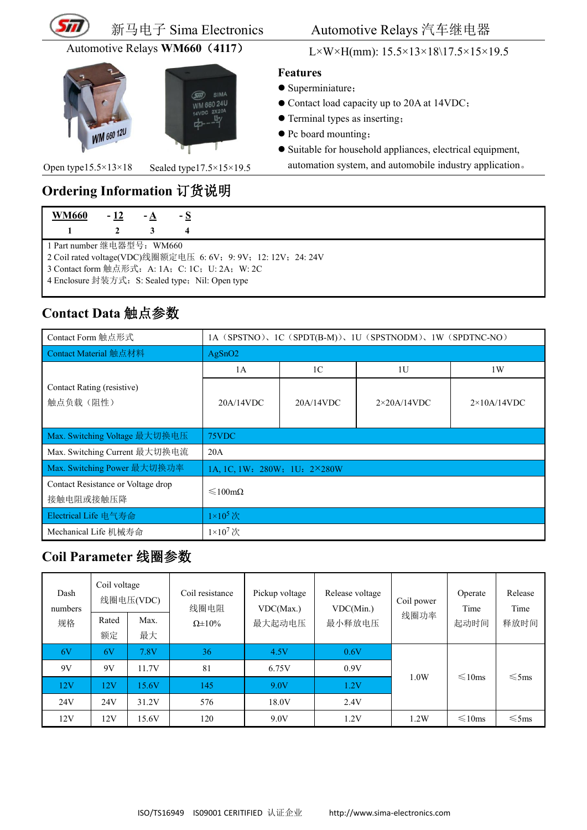



#### 新马电子 Sima Electronics Automotive Relays 汽车继电器

Automotive Relays **WM660**(**4117**) L×W×H(mm): 15.5×13×18\17.5×15×19.5

#### **Features**

- Superminiature;
- Contact load capacity up to 20A at 14VDC;
- Terminal types as inserting;
- Pc board mounting;
- $\bullet$  Suitable for household appliances, electrical equipment,

automation system, and automobile industry application。

# **Ordering Information** 订货说明 **WM660 - 12 - A - S**

SIMA

1 Part number 继电器型号:WM660

2 Coil rated voltage(VDC)线圈额定电压 6: 6V; 9: 9V; 12: 12V; 24: 24V

- 3 Contact form 触点形式: A: 1A; C: 1C; U: 2A; W: 2C
- 4 Enclosure 封装方式: S: Sealed type; Nil: Open type

Open type $15.5 \times 13 \times 18$  Sealed type $17.5 \times 15 \times 19.5$ 

### **Contact Data** 触点参数

| Contact Form 触点形式                               | 1A (SPSTNO), 1C (SPDT(B-M)), 1U (SPSTNODM), 1W (SPDTNC-NO) |                |                     |                     |  |
|-------------------------------------------------|------------------------------------------------------------|----------------|---------------------|---------------------|--|
| Contact Material 触点材料                           | AgSnO2                                                     |                |                     |                     |  |
|                                                 | 1A                                                         | 1 <sup>C</sup> | 1U                  | 1W                  |  |
| Contact Rating (resistive)<br>触点负载(阻性)          | 20A/14VDC                                                  | 20A/14VDC      | $2\times20$ A/14VDC | $2\times10$ A/14VDC |  |
| Max. Switching Voltage 最大切换电压                   | 75VDC                                                      |                |                     |                     |  |
| Max. Switching Current 最大切换电流                   | 20A                                                        |                |                     |                     |  |
| Max. Switching Power 最大切换功率                     | 1A, 1C, 1W: 280W: 1U: 2×280W                               |                |                     |                     |  |
| Contact Resistance or Voltage drop<br>接触电阻或接触压降 | $\leq 100 \text{m}\Omega$                                  |                |                     |                     |  |
| Electrical Life 电气寿命                            | $1\times10^5$ 次                                            |                |                     |                     |  |
| Mechanical Life 机械寿命                            | $1\times10^7$ 次                                            |                |                     |                     |  |

#### **Coil Parameter** 线圈参数

| Dash<br>numbers<br>规格 | Coil voltage<br>Rated<br>额定 | 线圈电压(VDC)<br>Max.<br>最大 | Coil resistance<br>线圈电阻<br>$\Omega \pm 10\%$ | Pickup voltage<br>VDC(Max.)<br>最大起动电压 | Release voltage<br>VDC(Min.)<br>最小释放电压 | Coil power<br>线圈功率 | Operate<br>Time<br>起动时间 | Release<br>Time<br>释放时间 |
|-----------------------|-----------------------------|-------------------------|----------------------------------------------|---------------------------------------|----------------------------------------|--------------------|-------------------------|-------------------------|
| 6V                    | 6V                          | 7.8V                    | 36                                           | 4.5V                                  | 0.6V                                   |                    |                         |                         |
| 9V                    | 9V                          | 11.7V                   | 81                                           | 6.75V                                 | 0.9V                                   | 1.0W               | $\leq 10$ ms            | $\leq$ 5ms              |
| 12V                   | 12V                         | 15.6V                   | 145                                          | 9.0V                                  | .2V                                    |                    |                         |                         |
| 24V                   | 24V                         | 31.2V                   | 576                                          | 18.0V                                 | 2.4V                                   |                    |                         |                         |
| 12V                   | 12V                         | 15.6V                   | 120                                          | 9.0V                                  | 1.2V                                   | 1.2W               | $\leq 10$ ms            | $\leq$ 5ms              |